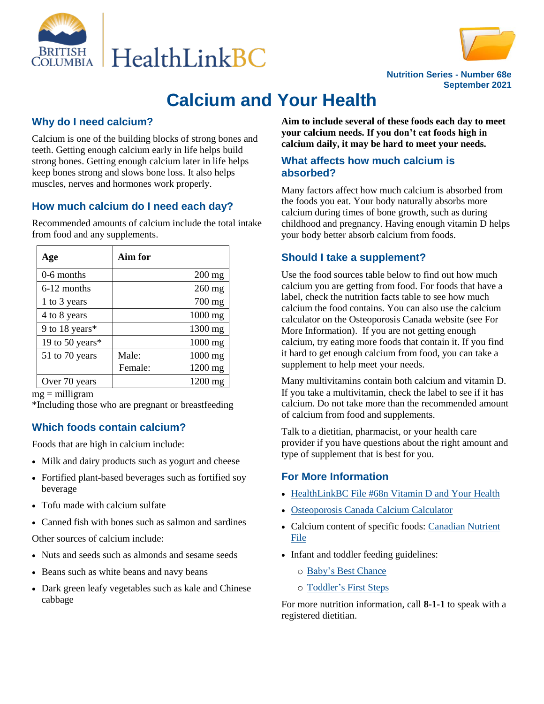



**Nutrition Series - Number 68e September 2021**

# **Calcium and Your Health**

# **Why do I need calcium?**

Calcium is one of the building blocks of strong bones and teeth. Getting enough calcium early in life helps build strong bones. Getting enough calcium later in life helps keep bones strong and slows bone loss. It also helps muscles, nerves and hormones work properly.

# **How much calcium do I need each day?**

Recommended amounts of calcium include the total intake from food and any supplements.

| Age             | Aim for |          |
|-----------------|---------|----------|
| 0-6 months      |         | $200$ mg |
| 6-12 months     |         | $260$ mg |
| 1 to 3 years    |         | 700 mg   |
| 4 to 8 years    |         | 1000 mg  |
| 9 to 18 years*  |         | 1300 mg  |
| 19 to 50 years* |         | 1000 mg  |
| 51 to 70 years  | Male:   | 1000 mg  |
|                 | Female: | 1200 mg  |
| Over 70 years   |         | 1200 mg  |

 $mg =$  milligram

\*Including those who are pregnant or breastfeeding

# **Which foods contain calcium?**

Foods that are high in calcium include:

- Milk and dairy products such as yogurt and cheese
- Fortified plant-based beverages such as fortified soy beverage
- Tofu made with calcium sulfate
- Canned fish with bones such as salmon and sardines

Other sources of calcium include:

- Nuts and seeds such as almonds and sesame seeds
- Beans such as white beans and navy beans
- Dark green leafy vegetables such as kale and Chinese cabbage

**Aim to include several of these foods each day to meet your calcium needs. If you don't eat foods high in calcium daily, it may be hard to meet your needs.**

#### **What affects how much calcium is absorbed?**

Many factors affect how much calcium is absorbed from the foods you eat. Your body naturally absorbs more calcium during times of bone growth, such as during childhood and pregnancy. Having enough vitamin D helps your body better absorb calcium from foods.

# **Should I take a supplement?**

Use the food sources table below to find out how much calcium you are getting from food. For foods that have a label, check the nutrition facts table to see how much calcium the food contains. You can also use the calcium calculator on the Osteoporosis Canada website (see For More Information). If you are not getting enough calcium, try eating more foods that contain it. If you find it hard to get enough calcium from food, you can take a supplement to help meet your needs.

Many multivitamins contain both calcium and vitamin D. If you take a multivitamin, check the label to see if it has calcium. Do not take more than the recommended amount of calcium from food and supplements.

Talk to a dietitian, pharmacist, or your health care provider if you have questions about the right amount and type of supplement that is best for you.

# **For More Information**

- HealthLinkBC File #68n [Vitamin D and Your Health](https://www.healthlinkbc.ca/healthlinkbc-files/vitamin-d-and-your-health)
- [Osteoporosis Canada Calcium Calculator](https://osteoporosis.ca/calcium-calculator/)
- Calcium content of specific foods: Canadian Nutrient [File](https://food-nutrition.canada.ca/cnf-fce/index-eng.jsp)
- Infant and toddler feeding guidelines:
	- o Baby's [Best Chance](https://www.healthlinkbc.ca/babys-best-chance)
	- o [Toddler's First Steps](https://www.healthlinkbc.ca/toddlers-first-steps)

For more nutrition information, call **8-1-1** to speak with a registered dietitian.